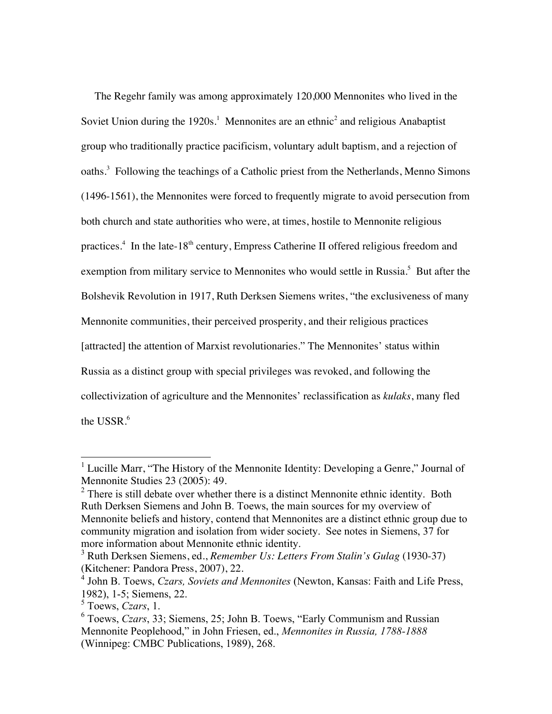The Regehr family was among approximately 120,000 Mennonites who lived in the Soviet Union during the  $1920s<sup>1</sup>$  Mennonites are an ethnic<sup>2</sup> and religious Anabaptist group who traditionally practice pacificism, voluntary adult baptism, and a rejection of oaths.<sup>3</sup> Following the teachings of a Catholic priest from the Netherlands, Menno Simons (1496-1561), the Mennonites were forced to frequently migrate to avoid persecution from both church and state authorities who were, at times, hostile to Mennonite religious practices.<sup>4</sup> In the late-18<sup>th</sup> century, Empress Catherine II offered religious freedom and exemption from military service to Mennonites who would settle in Russia.<sup>5</sup> But after the Bolshevik Revolution in 1917, Ruth Derksen Siemens writes, "the exclusiveness of many Mennonite communities, their perceived prosperity, and their religious practices [attracted] the attention of Marxist revolutionaries." The Mennonites' status within Russia as a distinct group with special privileges was revoked, and following the collectivization of agriculture and the Mennonites' reclassification as *kulaks*, many fled the USSR.<sup>6</sup>

<sup>&</sup>lt;sup>1</sup> Lucille Marr, "The History of the Mennonite Identity: Developing a Genre," Journal of Mennonite Studies 23 (2005): 49.

 $2$  There is still debate over whether there is a distinct Mennonite ethnic identity. Both Ruth Derksen Siemens and John B. Toews, the main sources for my overview of Mennonite beliefs and history, contend that Mennonites are a distinct ethnic group due to community migration and isolation from wider society. See notes in Siemens, 37 for more information about Mennonite ethnic identity.

<sup>3</sup> Ruth Derksen Siemens, ed., *Remember Us: Letters From Stalin's Gulag* (1930-37) (Kitchener: Pandora Press, 2007), 22.

<sup>4</sup> John B. Toews, *Czars, Soviets and Mennonites* (Newton, Kansas: Faith and Life Press, 1982), 1-5; Siemens, 22.

<sup>5</sup> Toews, *Czars*, 1.

<sup>6</sup> Toews, *Czars*, 33; Siemens, 25; John B. Toews, "Early Communism and Russian Mennonite Peoplehood," in John Friesen, ed., *Mennonites in Russia, 1788-1888* (Winnipeg: CMBC Publications, 1989), 268.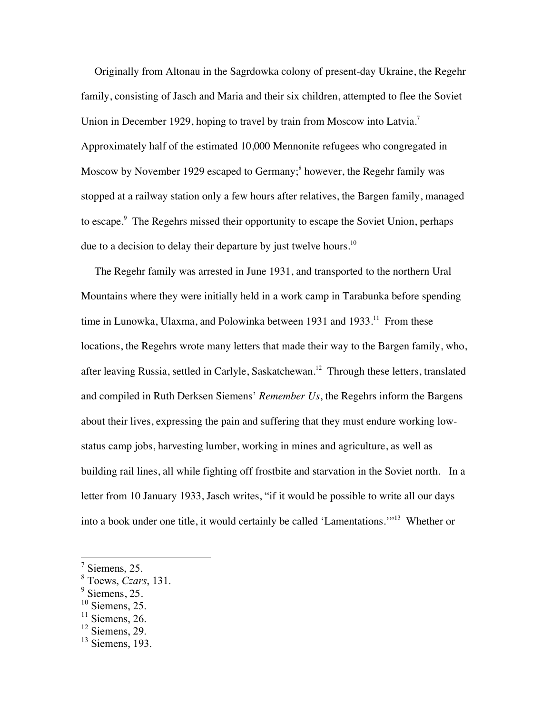Originally from Altonau in the Sagrdowka colony of present-day Ukraine, the Regehr family, consisting of Jasch and Maria and their six children, attempted to flee the Soviet Union in December 1929, hoping to travel by train from Moscow into Latvia.<sup>7</sup> Approximately half of the estimated 10,000 Mennonite refugees who congregated in Moscow by November 1929 escaped to Germany;<sup>8</sup> however, the Regehr family was stopped at a railway station only a few hours after relatives, the Bargen family, managed to escape.<sup>9</sup> The Regehrs missed their opportunity to escape the Soviet Union, perhaps due to a decision to delay their departure by just twelve hours.<sup>10</sup>

 The Regehr family was arrested in June 1931, and transported to the northern Ural Mountains where they were initially held in a work camp in Tarabunka before spending time in Lunowka, Ulaxma, and Polowinka between 1931 and  $1933$ <sup>11</sup>. From these locations, the Regehrs wrote many letters that made their way to the Bargen family, who, after leaving Russia, settled in Carlyle, Saskatchewan.<sup>12</sup> Through these letters, translated and compiled in Ruth Derksen Siemens' *Remember Us*, the Regehrs inform the Bargens about their lives, expressing the pain and suffering that they must endure working lowstatus camp jobs, harvesting lumber, working in mines and agriculture, as well as building rail lines, all while fighting off frostbite and starvation in the Soviet north. In a letter from 10 January 1933, Jasch writes, "if it would be possible to write all our days into a book under one title, it would certainly be called 'Lamentations.'"13 Whether or

 $<sup>7</sup>$  Siemens, 25.</sup>

<sup>8</sup> Toews, *Czars*, 131.

 $<sup>9</sup>$  Siemens, 25.</sup>

 $10$  Siemens, 25.

 $11$  Siemens, 26.

 $12$  Siemens, 29.

 $13$  Siemens, 193.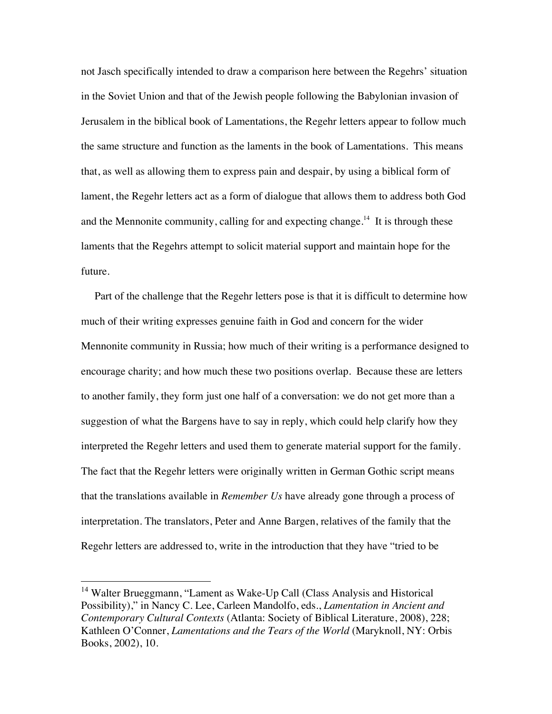not Jasch specifically intended to draw a comparison here between the Regehrs' situation in the Soviet Union and that of the Jewish people following the Babylonian invasion of Jerusalem in the biblical book of Lamentations, the Regehr letters appear to follow much the same structure and function as the laments in the book of Lamentations. This means that, as well as allowing them to express pain and despair, by using a biblical form of lament, the Regehr letters act as a form of dialogue that allows them to address both God and the Mennonite community, calling for and expecting change.<sup>14</sup> It is through these laments that the Regehrs attempt to solicit material support and maintain hope for the future.

 Part of the challenge that the Regehr letters pose is that it is difficult to determine how much of their writing expresses genuine faith in God and concern for the wider Mennonite community in Russia; how much of their writing is a performance designed to encourage charity; and how much these two positions overlap. Because these are letters to another family, they form just one half of a conversation: we do not get more than a suggestion of what the Bargens have to say in reply, which could help clarify how they interpreted the Regehr letters and used them to generate material support for the family. The fact that the Regehr letters were originally written in German Gothic script means that the translations available in *Remember Us* have already gone through a process of interpretation. The translators, Peter and Anne Bargen, relatives of the family that the Regehr letters are addressed to, write in the introduction that they have "tried to be

<sup>&</sup>lt;sup>14</sup> Walter Brueggmann, "Lament as Wake-Up Call (Class Analysis and Historical Possibility)," in Nancy C. Lee, Carleen Mandolfo, eds., *Lamentation in Ancient and Contemporary Cultural Contexts* (Atlanta: Society of Biblical Literature, 2008), 228; Kathleen O'Conner, *Lamentations and the Tears of the World* (Maryknoll, NY: Orbis Books, 2002), 10.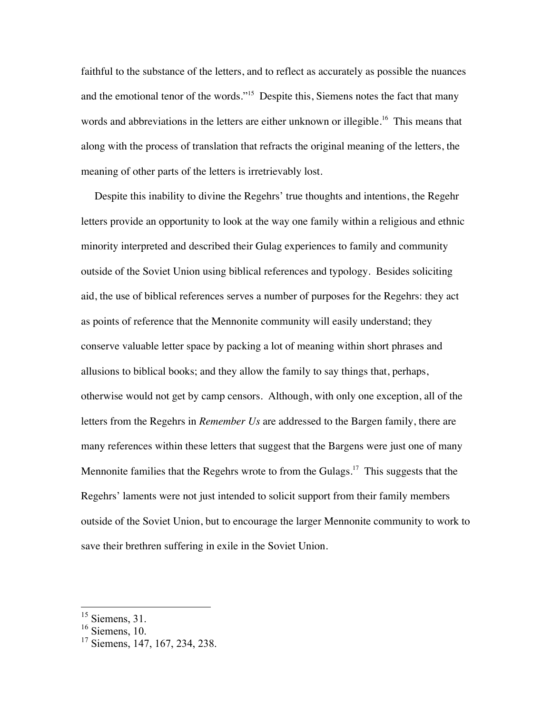faithful to the substance of the letters, and to reflect as accurately as possible the nuances and the emotional tenor of the words."<sup>15</sup> Despite this, Siemens notes the fact that many words and abbreviations in the letters are either unknown or illegible.<sup>16</sup> This means that along with the process of translation that refracts the original meaning of the letters, the meaning of other parts of the letters is irretrievably lost.

 Despite this inability to divine the Regehrs' true thoughts and intentions, the Regehr letters provide an opportunity to look at the way one family within a religious and ethnic minority interpreted and described their Gulag experiences to family and community outside of the Soviet Union using biblical references and typology. Besides soliciting aid, the use of biblical references serves a number of purposes for the Regehrs: they act as points of reference that the Mennonite community will easily understand; they conserve valuable letter space by packing a lot of meaning within short phrases and allusions to biblical books; and they allow the family to say things that, perhaps, otherwise would not get by camp censors. Although, with only one exception, all of the letters from the Regehrs in *Remember Us* are addressed to the Bargen family, there are many references within these letters that suggest that the Bargens were just one of many Mennonite families that the Regehrs wrote to from the Gulags.<sup>17</sup> This suggests that the Regehrs' laments were not just intended to solicit support from their family members outside of the Soviet Union, but to encourage the larger Mennonite community to work to save their brethren suffering in exile in the Soviet Union.

 $15$  Siemens, 31.

 $16$  Siemens, 10.

<sup>17</sup> Siemens, 147, 167, 234, 238.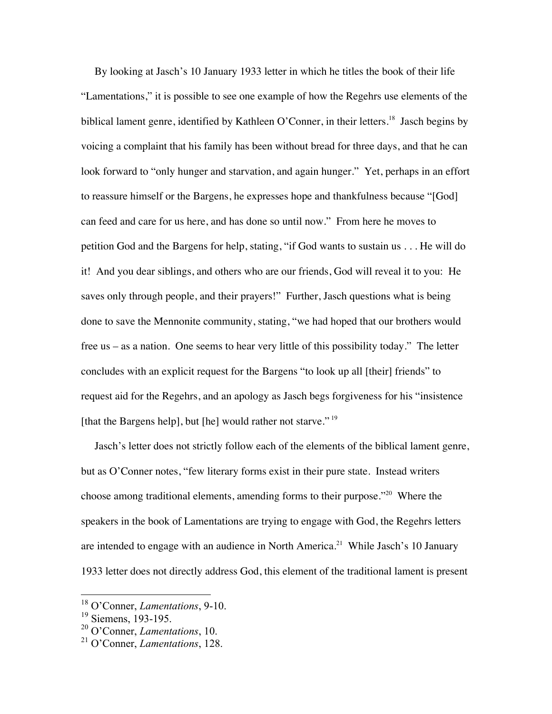By looking at Jasch's 10 January 1933 letter in which he titles the book of their life "Lamentations," it is possible to see one example of how the Regehrs use elements of the biblical lament genre, identified by Kathleen O'Conner, in their letters.<sup>18</sup> Jasch begins by voicing a complaint that his family has been without bread for three days, and that he can look forward to "only hunger and starvation, and again hunger." Yet, perhaps in an effort to reassure himself or the Bargens, he expresses hope and thankfulness because "[God] can feed and care for us here, and has done so until now." From here he moves to petition God and the Bargens for help, stating, "if God wants to sustain us . . . He will do it! And you dear siblings, and others who are our friends, God will reveal it to you: He saves only through people, and their prayers!" Further, Jasch questions what is being done to save the Mennonite community, stating, "we had hoped that our brothers would free us – as a nation. One seems to hear very little of this possibility today." The letter concludes with an explicit request for the Bargens "to look up all [their] friends" to request aid for the Regehrs, and an apology as Jasch begs forgiveness for his "insistence [that the Bargens help], but [he] would rather not starve."<sup>19</sup>

 Jasch's letter does not strictly follow each of the elements of the biblical lament genre, but as O'Conner notes, "few literary forms exist in their pure state. Instead writers choose among traditional elements, amending forms to their purpose."<sup>20</sup> Where the speakers in the book of Lamentations are trying to engage with God, the Regehrs letters are intended to engage with an audience in North America.<sup>21</sup> While Jasch's 10 January 1933 letter does not directly address God, this element of the traditional lament is present

 <sup>18</sup> O'Conner, *Lamentations*, 9-10.

 $19$  Siemens, 193-195.

<sup>20</sup> O'Conner, *Lamentations*, 10.

<sup>21</sup> O'Conner, *Lamentations*, 128.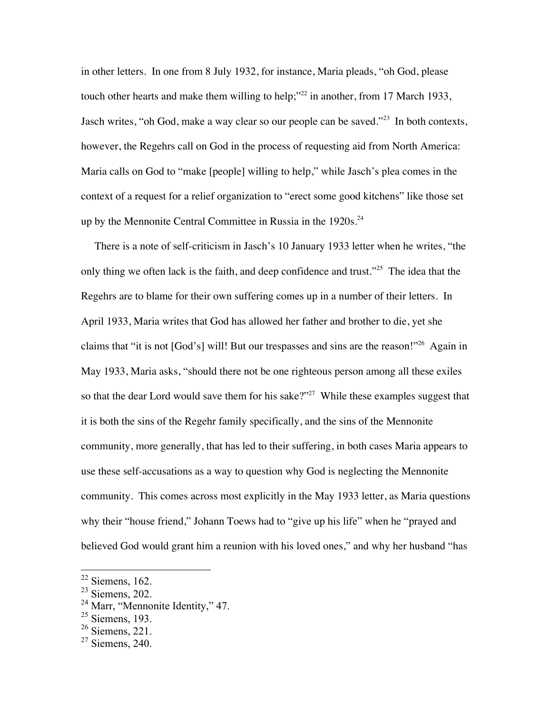in other letters. In one from 8 July 1932, for instance, Maria pleads, "oh God, please touch other hearts and make them willing to help;"<sup>22</sup> in another, from 17 March 1933, Jasch writes, "oh God, make a way clear so our people can be saved."<sup>23</sup> In both contexts, however, the Regehrs call on God in the process of requesting aid from North America: Maria calls on God to "make [people] willing to help," while Jasch's plea comes in the context of a request for a relief organization to "erect some good kitchens" like those set up by the Mennonite Central Committee in Russia in the  $1920s$ <sup>24</sup>

 There is a note of self-criticism in Jasch's 10 January 1933 letter when he writes, "the only thing we often lack is the faith, and deep confidence and trust."<sup>25</sup> The idea that the Regehrs are to blame for their own suffering comes up in a number of their letters. In April 1933, Maria writes that God has allowed her father and brother to die, yet she claims that "it is not [God's] will! But our trespasses and sins are the reason!"26 Again in May 1933, Maria asks, "should there not be one righteous person among all these exiles so that the dear Lord would save them for his sake?"<sup>27</sup> While these examples suggest that it is both the sins of the Regehr family specifically, and the sins of the Mennonite community, more generally, that has led to their suffering, in both cases Maria appears to use these self-accusations as a way to question why God is neglecting the Mennonite community. This comes across most explicitly in the May 1933 letter, as Maria questions why their "house friend," Johann Toews had to "give up his life" when he "prayed and believed God would grant him a reunion with his loved ones," and why her husband "has

 $22$  Siemens, 162.

 $23$  Siemens, 202.

<sup>&</sup>lt;sup>24</sup> Marr, "Mennonite Identity," 47.

 $25$  Siemens, 193.

 $26$  Siemens, 221.

 $27$  Siemens, 240.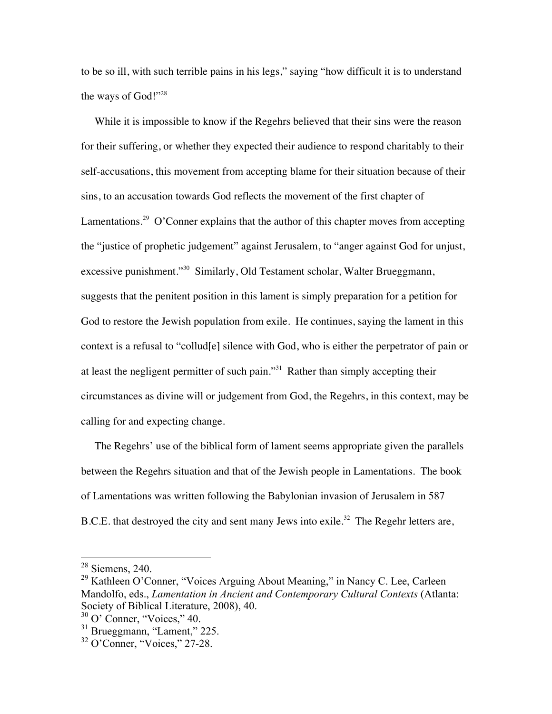to be so ill, with such terrible pains in his legs," saying "how difficult it is to understand the ways of God!"<sup>28</sup>

 While it is impossible to know if the Regehrs believed that their sins were the reason for their suffering, or whether they expected their audience to respond charitably to their self-accusations, this movement from accepting blame for their situation because of their sins, to an accusation towards God reflects the movement of the first chapter of Lamentations.<sup>29</sup> O'Conner explains that the author of this chapter moves from accepting the "justice of prophetic judgement" against Jerusalem, to "anger against God for unjust, excessive punishment."<sup>30</sup> Similarly, Old Testament scholar, Walter Brueggmann, suggests that the penitent position in this lament is simply preparation for a petition for God to restore the Jewish population from exile. He continues, saying the lament in this context is a refusal to "collud[e] silence with God, who is either the perpetrator of pain or at least the negligent permitter of such pain."<sup>31</sup> Rather than simply accepting their circumstances as divine will or judgement from God, the Regehrs, in this context, may be calling for and expecting change.

 The Regehrs' use of the biblical form of lament seems appropriate given the parallels between the Regehrs situation and that of the Jewish people in Lamentations. The book of Lamentations was written following the Babylonian invasion of Jerusalem in 587 B.C.E. that destroyed the city and sent many Jews into exile.<sup>32</sup> The Regehr letters are,

 <sup>28</sup> Siemens, 240.

 $^{29}$  Kathleen O'Conner, "Voices Arguing About Meaning," in Nancy C. Lee, Carleen Mandolfo, eds., *Lamentation in Ancient and Contemporary Cultural Contexts* (Atlanta: Society of Biblical Literature, 2008), 40.

 $30$  O' Conner, "Voices," 40.

<sup>&</sup>lt;sup>31</sup> Brueggmann, "Lament," 225.

<sup>32</sup> O'Conner, "Voices," 27-28.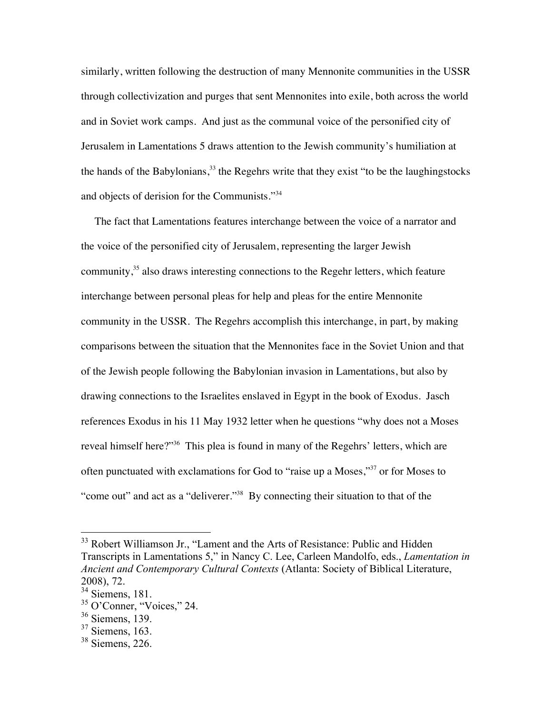similarly, written following the destruction of many Mennonite communities in the USSR through collectivization and purges that sent Mennonites into exile, both across the world and in Soviet work camps. And just as the communal voice of the personified city of Jerusalem in Lamentations 5 draws attention to the Jewish community's humiliation at the hands of the Babylonians, $33$  the Regehrs write that they exist "to be the laughingstocks" and objects of derision for the Communists."<sup>34</sup>

 The fact that Lamentations features interchange between the voice of a narrator and the voice of the personified city of Jerusalem, representing the larger Jewish community, $35$  also draws interesting connections to the Regehr letters, which feature interchange between personal pleas for help and pleas for the entire Mennonite community in the USSR. The Regehrs accomplish this interchange, in part, by making comparisons between the situation that the Mennonites face in the Soviet Union and that of the Jewish people following the Babylonian invasion in Lamentations, but also by drawing connections to the Israelites enslaved in Egypt in the book of Exodus. Jasch references Exodus in his 11 May 1932 letter when he questions "why does not a Moses reveal himself here?"<sup>36</sup> This plea is found in many of the Regehrs' letters, which are often punctuated with exclamations for God to "raise up a Moses,"37 or for Moses to "come out" and act as a "deliverer."38 By connecting their situation to that of the

<sup>&</sup>lt;sup>33</sup> Robert Williamson Jr., "Lament and the Arts of Resistance: Public and Hidden Transcripts in Lamentations 5," in Nancy C. Lee, Carleen Mandolfo, eds., *Lamentation in Ancient and Contemporary Cultural Contexts* (Atlanta: Society of Biblical Literature, 2008), 72.

<sup>34</sup> Siemens, 181.

<sup>35</sup> O'Conner, "Voices," 24.

 $36$  Siemens, 139.

 $37$  Siemens, 163.

<sup>38</sup> Siemens, 226.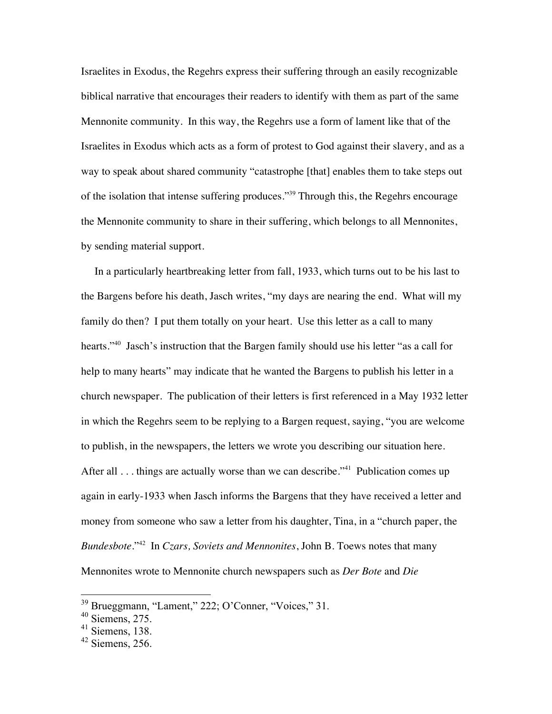Israelites in Exodus, the Regehrs express their suffering through an easily recognizable biblical narrative that encourages their readers to identify with them as part of the same Mennonite community. In this way, the Regehrs use a form of lament like that of the Israelites in Exodus which acts as a form of protest to God against their slavery, and as a way to speak about shared community "catastrophe [that] enables them to take steps out of the isolation that intense suffering produces."39 Through this, the Regehrs encourage the Mennonite community to share in their suffering, which belongs to all Mennonites, by sending material support.

 In a particularly heartbreaking letter from fall, 1933, which turns out to be his last to the Bargens before his death, Jasch writes, "my days are nearing the end. What will my family do then? I put them totally on your heart. Use this letter as a call to many hearts."<sup>40</sup> Jasch's instruction that the Bargen family should use his letter "as a call for help to many hearts" may indicate that he wanted the Bargens to publish his letter in a church newspaper. The publication of their letters is first referenced in a May 1932 letter in which the Regehrs seem to be replying to a Bargen request, saying, "you are welcome to publish, in the newspapers, the letters we wrote you describing our situation here. After all . . . things are actually worse than we can describe."<sup>41</sup> Publication comes up again in early-1933 when Jasch informs the Bargens that they have received a letter and money from someone who saw a letter from his daughter, Tina, in a "church paper, the *Bundesbote*."42 In *Czars, Soviets and Mennonites*, John B. Toews notes that many Mennonites wrote to Mennonite church newspapers such as *Der Bote* and *Die* 

 <sup>39</sup> Brueggmann, "Lament," 222; O'Conner, "Voices," 31.

 $40$  Siemens, 275.

 $41$  Siemens, 138.

 $42$  Siemens, 256.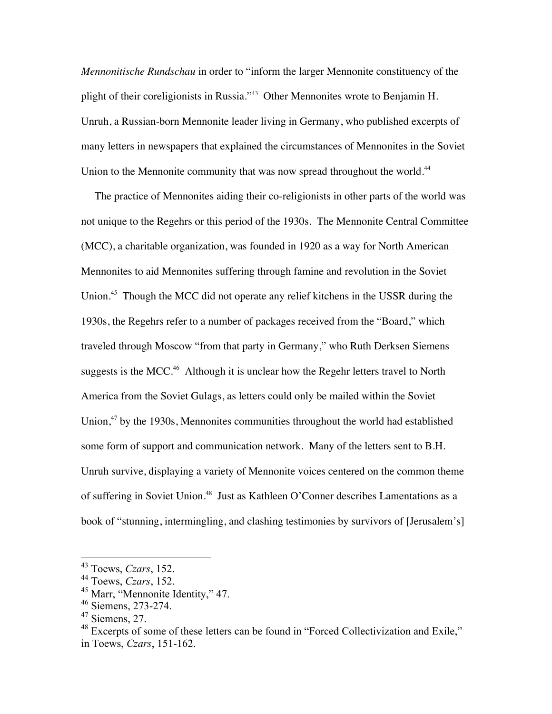*Mennonitische Rundschau* in order to "inform the larger Mennonite constituency of the plight of their coreligionists in Russia."43 Other Mennonites wrote to Benjamin H. Unruh, a Russian-born Mennonite leader living in Germany, who published excerpts of many letters in newspapers that explained the circumstances of Mennonites in the Soviet Union to the Mennonite community that was now spread throughout the world.<sup>44</sup>

 The practice of Mennonites aiding their co-religionists in other parts of the world was not unique to the Regehrs or this period of the 1930s. The Mennonite Central Committee (MCC), a charitable organization, was founded in 1920 as a way for North American Mennonites to aid Mennonites suffering through famine and revolution in the Soviet Union.<sup>45</sup> Though the MCC did not operate any relief kitchens in the USSR during the 1930s, the Regehrs refer to a number of packages received from the "Board," which traveled through Moscow "from that party in Germany," who Ruth Derksen Siemens suggests is the MCC.<sup>46</sup> Although it is unclear how the Regehr letters travel to North America from the Soviet Gulags, as letters could only be mailed within the Soviet Union,<sup>47</sup> by the 1930s, Mennonites communities throughout the world had established some form of support and communication network. Many of the letters sent to B.H. Unruh survive, displaying a variety of Mennonite voices centered on the common theme of suffering in Soviet Union.<sup>48</sup> Just as Kathleen O'Conner describes Lamentations as a book of "stunning, intermingling, and clashing testimonies by survivors of [Jerusalem's]

 <sup>43</sup> Toews, *Czars*, 152.

<sup>44</sup> Toews, *Czars*, 152.

<sup>&</sup>lt;sup>45</sup> Marr, "Mennonite Identity," 47.

<sup>46</sup> Siemens, 273-274.

 $47$  Siemens, 27.

<sup>&</sup>lt;sup>48</sup> Excerpts of some of these letters can be found in "Forced Collectivization and Exile," in Toews, *Czars*, 151-162.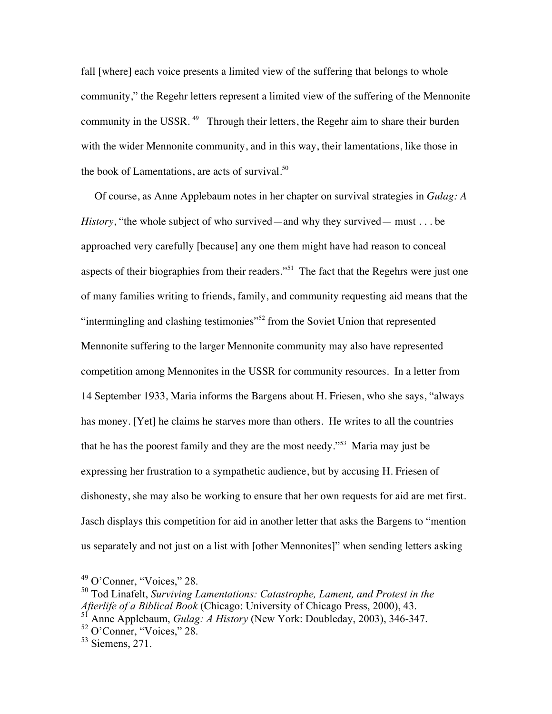fall [where] each voice presents a limited view of the suffering that belongs to whole community," the Regehr letters represent a limited view of the suffering of the Mennonite community in the USSR.<sup>49</sup> Through their letters, the Regehr aim to share their burden with the wider Mennonite community, and in this way, their lamentations, like those in the book of Lamentations, are acts of survival. $50$ 

 Of course, as Anne Applebaum notes in her chapter on survival strategies in *Gulag: A History*, "the whole subject of who survived—and why they survived— must . . . be approached very carefully [because] any one them might have had reason to conceal aspects of their biographies from their readers."<sup>51</sup> The fact that the Regehrs were just one of many families writing to friends, family, and community requesting aid means that the "intermingling and clashing testimonies"<sup>52</sup> from the Soviet Union that represented Mennonite suffering to the larger Mennonite community may also have represented competition among Mennonites in the USSR for community resources. In a letter from 14 September 1933, Maria informs the Bargens about H. Friesen, who she says, "always has money. [Yet] he claims he starves more than others. He writes to all the countries that he has the poorest family and they are the most needy."53 Maria may just be expressing her frustration to a sympathetic audience, but by accusing H. Friesen of dishonesty, she may also be working to ensure that her own requests for aid are met first. Jasch displays this competition for aid in another letter that asks the Bargens to "mention us separately and not just on a list with [other Mennonites]" when sending letters asking

 <sup>49</sup> O'Conner, "Voices," 28.

<sup>50</sup> Tod Linafelt, *Surviving Lamentations: Catastrophe, Lament, and Protest in the Afterlife of a Biblical Book* (Chicago: University of Chicago Press, 2000), 43. <sup>51</sup> Anne Applebaum, *Gulag: A History* (New York: Doubleday, 2003), 346-347.

<sup>52</sup> O'Conner, "Voices," 28.

 $53$  Siemens, 271.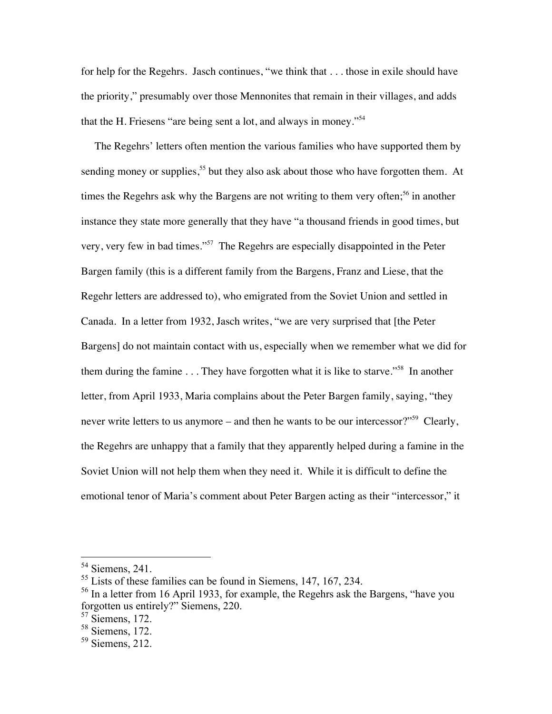for help for the Regehrs. Jasch continues, "we think that . . . those in exile should have the priority," presumably over those Mennonites that remain in their villages, and adds that the H. Friesens "are being sent a lot, and always in money."54

 The Regehrs' letters often mention the various families who have supported them by sending money or supplies,<sup>55</sup> but they also ask about those who have forgotten them. At times the Regehrs ask why the Bargens are not writing to them very often;<sup>56</sup> in another instance they state more generally that they have "a thousand friends in good times, but very, very few in bad times."57 The Regehrs are especially disappointed in the Peter Bargen family (this is a different family from the Bargens, Franz and Liese, that the Regehr letters are addressed to), who emigrated from the Soviet Union and settled in Canada. In a letter from 1932, Jasch writes, "we are very surprised that [the Peter Bargens] do not maintain contact with us, especially when we remember what we did for them during the famine  $\dots$ . They have forgotten what it is like to starve."<sup>58</sup> In another letter, from April 1933, Maria complains about the Peter Bargen family, saying, "they never write letters to us anymore – and then he wants to be our intercessor?"<sup>59</sup> Clearly, the Regehrs are unhappy that a family that they apparently helped during a famine in the Soviet Union will not help them when they need it. While it is difficult to define the emotional tenor of Maria's comment about Peter Bargen acting as their "intercessor," it

 <sup>54</sup> Siemens, 241.

<sup>55</sup> Lists of these families can be found in Siemens, 147, 167, 234.

<sup>&</sup>lt;sup>56</sup> In a letter from 16 April 1933, for example, the Regehrs ask the Bargens, "have you forgotten us entirely?" Siemens, 220.

 $57$  Siemens, 172.

<sup>58</sup> Siemens, 172.

 $59$  Siemens, 212.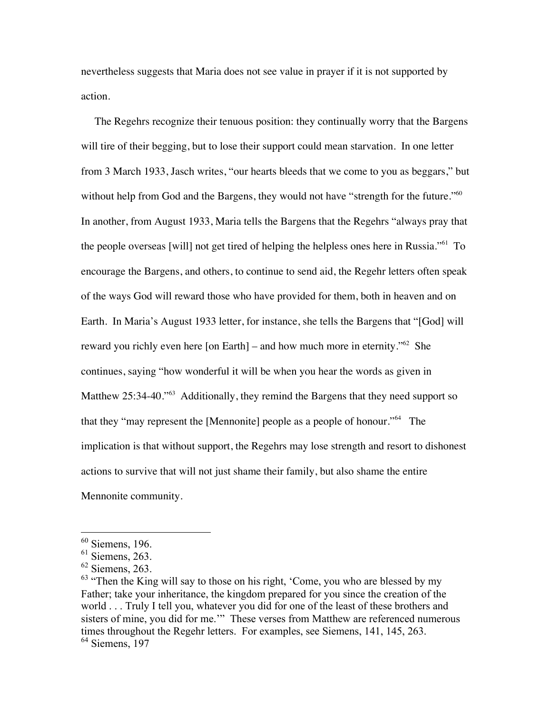nevertheless suggests that Maria does not see value in prayer if it is not supported by action.

 The Regehrs recognize their tenuous position: they continually worry that the Bargens will tire of their begging, but to lose their support could mean starvation. In one letter from 3 March 1933, Jasch writes, "our hearts bleeds that we come to you as beggars," but without help from God and the Bargens, they would not have "strength for the future."<sup>60</sup> In another, from August 1933, Maria tells the Bargens that the Regehrs "always pray that the people overseas [will] not get tired of helping the helpless ones here in Russia."<sup>61</sup> To encourage the Bargens, and others, to continue to send aid, the Regehr letters often speak of the ways God will reward those who have provided for them, both in heaven and on Earth. In Maria's August 1933 letter, for instance, she tells the Bargens that "[God] will reward you richly even here [on Earth] – and how much more in eternity.<sup> $562$ </sup> She continues, saying "how wonderful it will be when you hear the words as given in Matthew 25:34-40."<sup>63</sup> Additionally, they remind the Bargens that they need support so that they "may represent the [Mennonite] people as a people of honour."64 The implication is that without support, the Regehrs may lose strength and resort to dishonest actions to survive that will not just shame their family, but also shame the entire Mennonite community.

 $60$  Siemens, 196.

 $<sup>61</sup>$  Siemens, 263.</sup>

 $62$  Siemens, 263.

 $63$  "Then the King will say to those on his right, 'Come, you who are blessed by my Father; take your inheritance, the kingdom prepared for you since the creation of the world . . . Truly I tell you, whatever you did for one of the least of these brothers and sisters of mine, you did for me.'" These verses from Matthew are referenced numerous times throughout the Regehr letters. For examples, see Siemens, 141, 145, 263. <sup>64</sup> Siemens, 197